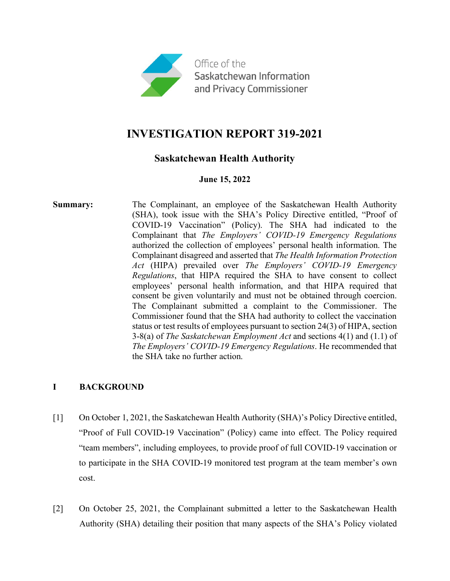

# **INVESTIGATION REPORT 319-2021**

## **Saskatchewan Health Authority**

### **June 15, 2022**

**Summary:** The Complainant, an employee of the Saskatchewan Health Authority (SHA), took issue with the SHA's Policy Directive entitled, "Proof of COVID-19 Vaccination" (Policy). The SHA had indicated to the Complainant that *The Employers' COVID-19 Emergency Regulations* authorized the collection of employees' personal health information. The Complainant disagreed and asserted that *The Health Information Protection Act* (HIPA) prevailed over *The Employers' COVID-19 Emergency Regulations*, that HIPA required the SHA to have consent to collect employees' personal health information, and that HIPA required that consent be given voluntarily and must not be obtained through coercion. The Complainant submitted a complaint to the Commissioner. The Commissioner found that the SHA had authority to collect the vaccination status or test results of employees pursuant to section 24(3) of HIPA, section 3-8(a) of *The Saskatchewan Employment Act* and sections 4(1) and (1.1) of *The Employers' COVID-19 Emergency Regulations*. He recommended that the SHA take no further action.

## **I BACKGROUND**

- [1] On October 1, 2021, the Saskatchewan Health Authority (SHA)'s Policy Directive entitled, "Proof of Full COVID-19 Vaccination" (Policy) came into effect. The Policy required "team members", including employees, to provide proof of full COVID-19 vaccination or to participate in the SHA COVID-19 monitored test program at the team member's own cost.
- [2] On October 25, 2021, the Complainant submitted a letter to the Saskatchewan Health Authority (SHA) detailing their position that many aspects of the SHA's Policy violated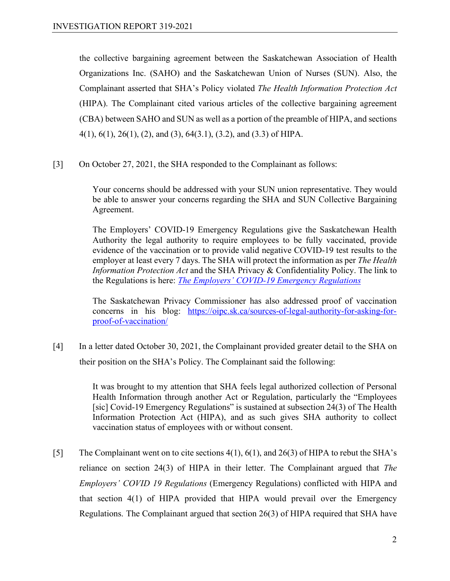the collective bargaining agreement between the Saskatchewan Association of Health Organizations Inc. (SAHO) and the Saskatchewan Union of Nurses (SUN). Also, the Complainant asserted that SHA's Policy violated *The Health Information Protection Act* (HIPA). The Complainant cited various articles of the collective bargaining agreement (CBA) between SAHO and SUN as well as a portion of the preamble of HIPA, and sections 4(1), 6(1), 26(1), (2), and (3), 64(3.1), (3.2), and (3.3) of HIPA.

[3] On October 27, 2021, the SHA responded to the Complainant as follows:

Your concerns should be addressed with your SUN union representative. They would be able to answer your concerns regarding the SHA and SUN Collective Bargaining Agreement.

The Employers' COVID-19 Emergency Regulations give the Saskatchewan Health Authority the legal authority to require employees to be fully vaccinated, provide evidence of the vaccination or to provide valid negative COVID-19 test results to the employer at least every 7 days. The SHA will protect the information as per *The Health Information Protection Act* and the SHA Privacy & Confidentiality Policy. The link to the Regulations is here: *[The Employers' COVID-19 Emergency Regulations](https://publications.saskatchewan.ca/#/products/114953)*

The Saskatchewan Privacy Commissioner has also addressed proof of vaccination concerns in his blog: [https://oipc.sk.ca/sources-of-legal-authority-for-asking-for](https://oipc.sk.ca/sources-of-legal-authority-for-asking-for-proof-of-vaccination/)[proof-of-vaccination/](https://oipc.sk.ca/sources-of-legal-authority-for-asking-for-proof-of-vaccination/)

[4] In a letter dated October 30, 2021, the Complainant provided greater detail to the SHA on their position on the SHA's Policy. The Complainant said the following:

> It was brought to my attention that SHA feels legal authorized collection of Personal Health Information through another Act or Regulation, particularly the "Employees [sic] Covid-19 Emergency Regulations" is sustained at subsection 24(3) of The Health Information Protection Act (HIPA), and as such gives SHA authority to collect vaccination status of employees with or without consent.

[5] The Complainant went on to cite sections 4(1), 6(1), and 26(3) of HIPA to rebut the SHA's reliance on section 24(3) of HIPA in their letter. The Complainant argued that *The Employers' COVID 19 Regulations* (Emergency Regulations) conflicted with HIPA and that section 4(1) of HIPA provided that HIPA would prevail over the Emergency Regulations. The Complainant argued that section 26(3) of HIPA required that SHA have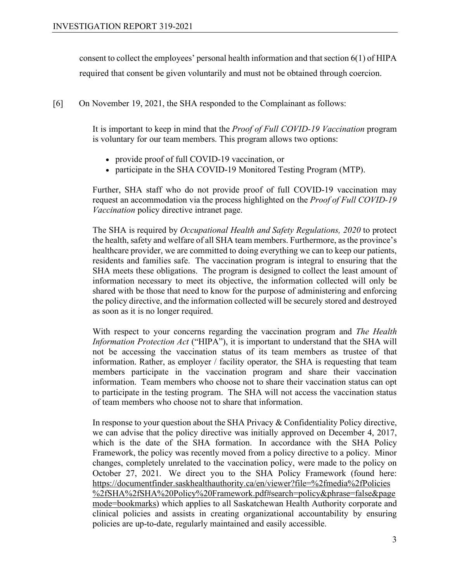consent to collect the employees' personal health information and that section 6(1) of HIPA required that consent be given voluntarily and must not be obtained through coercion.

[6] On November 19, 2021, the SHA responded to the Complainant as follows:

It is important to keep in mind that the *Proof of Full COVID-19 Vaccination* program is voluntary for our team members. This program allows two options:

- provide proof of full COVID-19 vaccination, or
- participate in the SHA COVID-19 Monitored Testing Program (MTP).

Further, SHA staff who do not provide proof of full COVID-19 vaccination may request an accommodation via the process highlighted on the *Proof of Full COVID-19 Vaccination* policy directive intranet page.

The SHA is required by *Occupational Health and Safety Regulations, 2020* to protect the health, safety and welfare of all SHA team members. Furthermore, as the province's healthcare provider, we are committed to doing everything we can to keep our patients, residents and families safe. The vaccination program is integral to ensuring that the SHA meets these obligations. The program is designed to collect the least amount of information necessary to meet its objective, the information collected will only be shared with be those that need to know for the purpose of administering and enforcing the policy directive, and the information collected will be securely stored and destroyed as soon as it is no longer required.

With respect to your concerns regarding the vaccination program and *The Health Information Protection Act* ("HIPA"), it is important to understand that the SHA will not be accessing the vaccination status of its team members as trustee of that information. Rather, as employer / facility operator*,* the SHA is requesting that team members participate in the vaccination program and share their vaccination information. Team members who choose not to share their vaccination status can opt to participate in the testing program. The SHA will not access the vaccination status of team members who choose not to share that information.

In response to your question about the SHA Privacy & Confidentiality Policy directive, we can advise that the policy directive was initially approved on December 4, 2017, which is the date of the SHA formation. In accordance with the SHA Policy Framework, the policy was recently moved from a policy directive to a policy. Minor changes, completely unrelated to the vaccination policy, were made to the policy on October 27, 2021. We direct you to the SHA Policy Framework (found here: [https://documentfinder.saskhealthauthority.ca/en/viewer?file=%2fmedia%2fPolicies](https://documentfinder.saskhealthauthority.ca/en/viewer?file=%2fmedia%2fPolicies%2fSHA%2fSHA%20Policy%20Framework.pdf#search=policy&phrase=false&pagemode=bookmarks) [%2fSHA%2fSHA%20Policy%20Framework.pdf#search=policy&phrase=false&page](https://documentfinder.saskhealthauthority.ca/en/viewer?file=%2fmedia%2fPolicies%2fSHA%2fSHA%20Policy%20Framework.pdf#search=policy&phrase=false&pagemode=bookmarks) [mode=bookmarks\)](https://documentfinder.saskhealthauthority.ca/en/viewer?file=%2fmedia%2fPolicies%2fSHA%2fSHA%20Policy%20Framework.pdf#search=policy&phrase=false&pagemode=bookmarks) which applies to all Saskatchewan Health Authority corporate and clinical policies and assists in creating organizational accountability by ensuring policies are up-to-date, regularly maintained and easily accessible.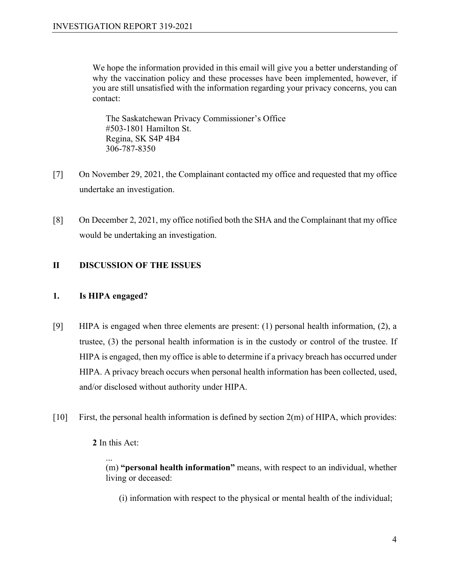We hope the information provided in this email will give you a better understanding of why the vaccination policy and these processes have been implemented, however, if you are still unsatisfied with the information regarding your privacy concerns, you can contact:

The Saskatchewan Privacy Commissioner's Office #503-1801 Hamilton St. Regina, SK S4P 4B4 306-787-8350

- [7] On November 29, 2021, the Complainant contacted my office and requested that my office undertake an investigation.
- [8] On December 2, 2021, my office notified both the SHA and the Complainant that my office would be undertaking an investigation.

#### **II DISCUSSION OF THE ISSUES**

#### **1. Is HIPA engaged?**

- [9] HIPA is engaged when three elements are present: (1) personal health information, (2), a trustee, (3) the personal health information is in the custody or control of the trustee. If HIPA is engaged, then my office is able to determine if a privacy breach has occurred under HIPA. A privacy breach occurs when personal health information has been collected, used, and/or disclosed without authority under HIPA.
- [10] First, the personal health information is defined by section 2(m) of HIPA, which provides:

#### **2** In this Act:

... (m) **"personal health information"** means, with respect to an individual, whether living or deceased:

(i) information with respect to the physical or mental health of the individual;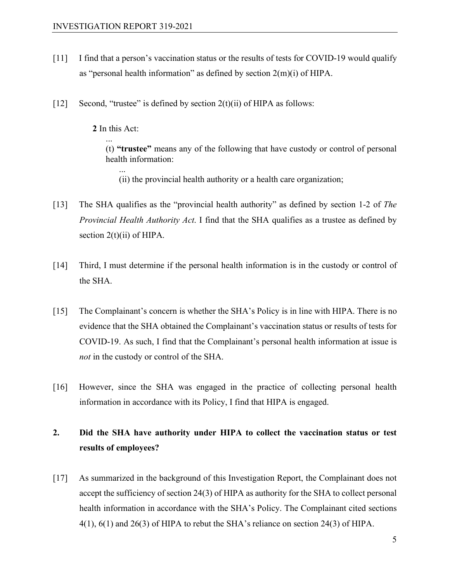- [11] I find that a person's vaccination status or the results of tests for COVID-19 would qualify as "personal health information" as defined by section 2(m)(i) of HIPA.
- [12] Second, "trustee" is defined by section  $2(t)(ii)$  of HIPA as follows:

**2** In this Act:

...

...

(t) **"trustee"** means any of the following that have custody or control of personal health information:

(ii) the provincial health authority or a health care organization;

- [13] The SHA qualifies as the "provincial health authority" as defined by section 1-2 of *The Provincial Health Authority Act*. I find that the SHA qualifies as a trustee as defined by section  $2(t)(ii)$  of HIPA.
- [14] Third, I must determine if the personal health information is in the custody or control of the SHA.
- [15] The Complainant's concern is whether the SHA's Policy is in line with HIPA. There is no evidence that the SHA obtained the Complainant's vaccination status or results of tests for COVID-19. As such, I find that the Complainant's personal health information at issue is *not* in the custody or control of the SHA.
- [16] However, since the SHA was engaged in the practice of collecting personal health information in accordance with its Policy, I find that HIPA is engaged.

## **2. Did the SHA have authority under HIPA to collect the vaccination status or test results of employees?**

[17] As summarized in the background of this Investigation Report, the Complainant does not accept the sufficiency of section 24(3) of HIPA as authority for the SHA to collect personal health information in accordance with the SHA's Policy. The Complainant cited sections  $4(1)$ ,  $6(1)$  and  $26(3)$  of HIPA to rebut the SHA's reliance on section  $24(3)$  of HIPA.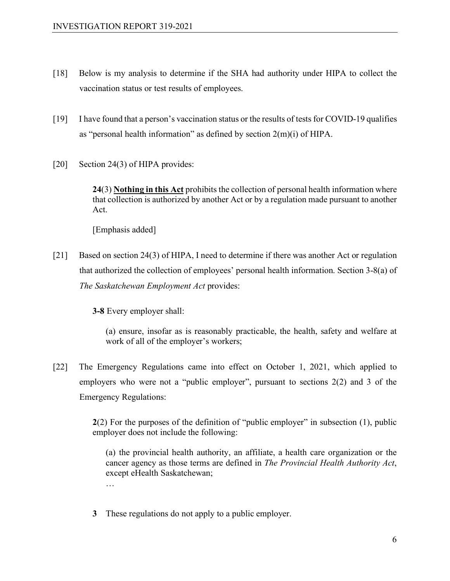- [18] Below is my analysis to determine if the SHA had authority under HIPA to collect the vaccination status or test results of employees.
- [19] I have found that a person's vaccination status or the results of tests for COVID-19 qualifies as "personal health information" as defined by section  $2(m)(i)$  of HIPA.
- [20] Section 24(3) of HIPA provides:

**24**(3) **Nothing in this Act** prohibits the collection of personal health information where that collection is authorized by another Act or by a regulation made pursuant to another Act.

[Emphasis added]

[21] Based on section 24(3) of HIPA, I need to determine if there was another Act or regulation that authorized the collection of employees' personal health information. Section 3-8(a) of *The Saskatchewan Employment Act* provides:

**3‑8** Every employer shall:

(a) ensure, insofar as is reasonably practicable, the health, safety and welfare at work of all of the employer's workers;

[22] The Emergency Regulations came into effect on October 1, 2021, which applied to employers who were not a "public employer", pursuant to sections 2(2) and 3 of the Emergency Regulations:

> **2**(2) For the purposes of the definition of "public employer" in subsection (1), public employer does not include the following:

(a) the provincial health authority, an affiliate, a health care organization or the cancer agency as those terms are defined in *The Provincial Health Authority Act*, except eHealth Saskatchewan;

…

**3** These regulations do not apply to a public employer.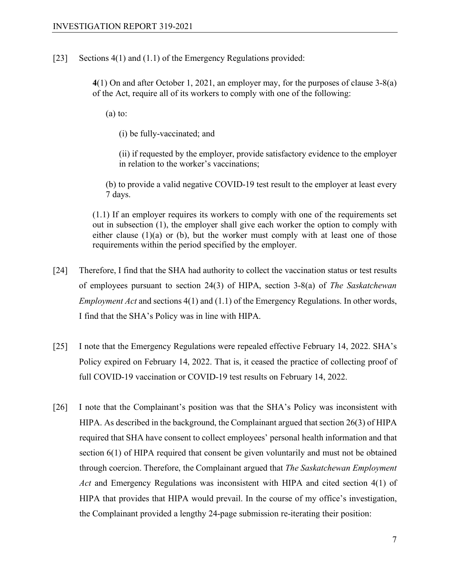[23] Sections 4(1) and (1.1) of the Emergency Regulations provided:

**4**(1) On and after October 1, 2021, an employer may, for the purposes of clause 3-8(a) of the Act, require all of its workers to comply with one of the following:

 $(a)$  to:

(i) be fully-vaccinated; and

(ii) if requested by the employer, provide satisfactory evidence to the employer in relation to the worker's vaccinations;

(b) to provide a valid negative COVID-19 test result to the employer at least every 7 days.

(1.1) If an employer requires its workers to comply with one of the requirements set out in subsection (1), the employer shall give each worker the option to comply with either clause  $(1)(a)$  or  $(b)$ , but the worker must comply with at least one of those requirements within the period specified by the employer.

- [24] Therefore, I find that the SHA had authority to collect the vaccination status or test results of employees pursuant to section 24(3) of HIPA, section 3-8(a) of *The Saskatchewan Employment Act* and sections 4(1) and (1.1) of the Emergency Regulations. In other words, I find that the SHA's Policy was in line with HIPA.
- [25] I note that the Emergency Regulations were repealed effective February 14, 2022. SHA's Policy expired on February 14, 2022. That is, it ceased the practice of collecting proof of full COVID-19 vaccination or COVID-19 test results on February 14, 2022.
- [26] I note that the Complainant's position was that the SHA's Policy was inconsistent with HIPA. As described in the background, the Complainant argued that section 26(3) of HIPA required that SHA have consent to collect employees' personal health information and that section 6(1) of HIPA required that consent be given voluntarily and must not be obtained through coercion. Therefore, the Complainant argued that *The Saskatchewan Employment Act* and Emergency Regulations was inconsistent with HIPA and cited section 4(1) of HIPA that provides that HIPA would prevail. In the course of my office's investigation, the Complainant provided a lengthy 24-page submission re-iterating their position: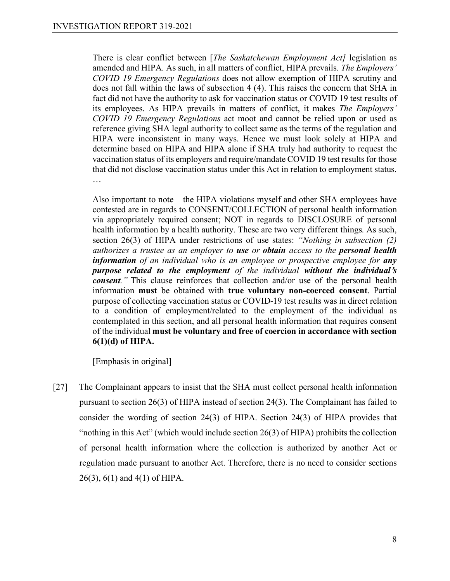There is clear conflict between [*The Saskatchewan Employment Act]* legislation as amended and HIPA. As such, in all matters of conflict, HIPA prevails. *The Employers' COVID 19 Emergency Regulations* does not allow exemption of HIPA scrutiny and does not fall within the laws of subsection 4 (4). This raises the concern that SHA in fact did not have the authority to ask for vaccination status or COVID 19 test results of its employees. As HIPA prevails in matters of conflict, it makes *The Employers' COVID 19 Emergency Regulations* act moot and cannot be relied upon or used as reference giving SHA legal authority to collect same as the terms of the regulation and HIPA were inconsistent in many ways. Hence we must look solely at HIPA and determine based on HIPA and HIPA alone if SHA truly had authority to request the vaccination status of its employers and require/mandate COVID 19 test results for those that did not disclose vaccination status under this Act in relation to employment status. …

Also important to note – the HIPA violations myself and other SHA employees have contested are in regards to CONSENT/COLLECTION of personal health information via appropriately required consent; NOT in regards to DISCLOSURE of personal health information by a health authority. These are two very different things. As such, section 26(3) of HIPA under restrictions of use states: *"Nothing in subsection (2) authorizes a trustee as an employer to use or obtain access to the personal health information* of an individual who is an employee or prospective employee for any *purpose related to the employment of the individual without the individual*'*s consent.*" This clause reinforces that collection and/or use of the personal health information **must** be obtained with **true voluntary non-coerced consent**. Partial purpose of collecting vaccination status or COVID-19 test results was in direct relation to a condition of employment/related to the employment of the individual as contemplated in this section, and all personal health information that requires consent of the individual **must be voluntary and free of coercion in accordance with section 6(1)(d) of HIPA.**

[Emphasis in original]

[27] The Complainant appears to insist that the SHA must collect personal health information pursuant to section 26(3) of HIPA instead of section 24(3). The Complainant has failed to consider the wording of section 24(3) of HIPA. Section 24(3) of HIPA provides that "nothing in this Act" (which would include section 26(3) of HIPA) prohibits the collection of personal health information where the collection is authorized by another Act or regulation made pursuant to another Act. Therefore, there is no need to consider sections 26(3), 6(1) and 4(1) of HIPA.